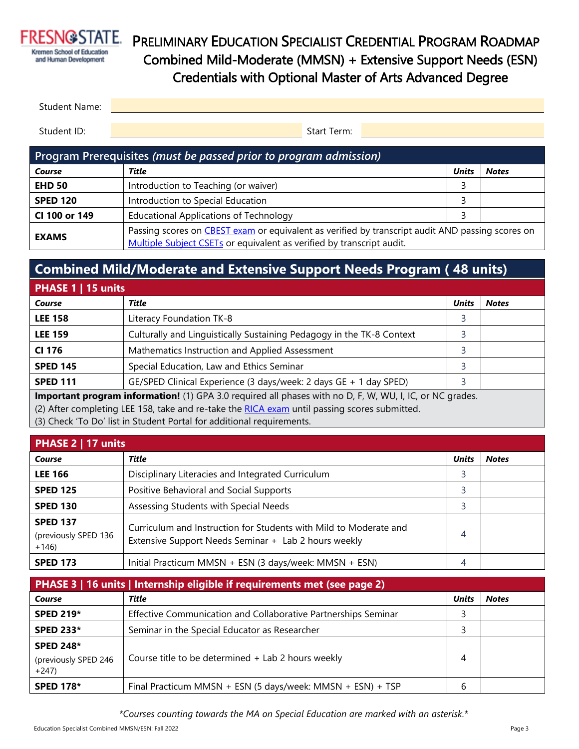

# PRELIMINARY EDUCATION SPECIALIST CREDENTIAL PROGRAM ROADMAP Combined Mild-Moderate (MMSN) + Extensive Support Needs (ESN) Credentials with Optional Master of Arts Advanced Degree

| Student Name: |             |  |
|---------------|-------------|--|
|               |             |  |
| Student ID:   | Start Term: |  |

| Program Prerequisites (must be passed prior to program admission) |                                                                                                                                                                           |              |              |  |
|-------------------------------------------------------------------|---------------------------------------------------------------------------------------------------------------------------------------------------------------------------|--------------|--------------|--|
| Course                                                            | Title                                                                                                                                                                     | <b>Units</b> | <b>Notes</b> |  |
| <b>EHD 50</b>                                                     | Introduction to Teaching (or waiver)                                                                                                                                      |              |              |  |
| <b>SPED 120</b>                                                   | Introduction to Special Education                                                                                                                                         |              |              |  |
| CI 100 or 149                                                     | <b>Educational Applications of Technology</b>                                                                                                                             |              |              |  |
| <b>EXAMS</b>                                                      | Passing scores on CBEST exam or equivalent as verified by transcript audit AND passing scores on<br>Multiple Subject CSETs or equivalent as verified by transcript audit. |              |              |  |

### **Combined Mild/Moderate and Extensive Support Needs Program ( 48 units)**

| PHASE 1   15 units                                                                                                                                                                                                                                                                                                                              |                                                                       |              |              |
|-------------------------------------------------------------------------------------------------------------------------------------------------------------------------------------------------------------------------------------------------------------------------------------------------------------------------------------------------|-----------------------------------------------------------------------|--------------|--------------|
| Course                                                                                                                                                                                                                                                                                                                                          | Title                                                                 | <b>Units</b> | <b>Notes</b> |
| <b>LEE 158</b>                                                                                                                                                                                                                                                                                                                                  | Literacy Foundation TK-8                                              |              |              |
| <b>LEE 159</b>                                                                                                                                                                                                                                                                                                                                  | Culturally and Linguistically Sustaining Pedagogy in the TK-8 Context |              |              |
| CI 176                                                                                                                                                                                                                                                                                                                                          | Mathematics Instruction and Applied Assessment                        |              |              |
| <b>SPED 145</b>                                                                                                                                                                                                                                                                                                                                 | Special Education, Law and Ethics Seminar                             |              |              |
| <b>SPED 111</b>                                                                                                                                                                                                                                                                                                                                 | GE/SPED Clinical Experience (3 days/week: 2 days GE + 1 day SPED)     |              |              |
| Important program information! (1) GPA 3.0 required all phases with no D, F, W, WU, I, IC, or NC grades.<br>$\overline{10}$ and the second three contracts of the contracts of the contracts of the contracts of the contracts of the contracts of the contracts of the contracts of the contracts of the contracts of the contracts of the con |                                                                       |              |              |

(2) After completing LEE 158, take and re-take the [RICA exam](https://www.ctcexams.nesinc.com/TestView.aspx?f=HTML_FRAG/CA_RICA_Written_TestPage.html) until passing scores submitted.

(3) Check 'To Do' list in Student Portal for additional requirements.

| PHASE 2   17 units                                |                                                                                                                           |              |              |  |
|---------------------------------------------------|---------------------------------------------------------------------------------------------------------------------------|--------------|--------------|--|
| Course                                            | Title                                                                                                                     | <b>Units</b> | <b>Notes</b> |  |
| <b>LEE 166</b>                                    | Disciplinary Literacies and Integrated Curriculum                                                                         |              |              |  |
| <b>SPED 125</b>                                   | Positive Behavioral and Social Supports                                                                                   |              |              |  |
| <b>SPED 130</b>                                   | Assessing Students with Special Needs                                                                                     |              |              |  |
| <b>SPED 137</b><br>(previously SPED 136<br>$+146$ | Curriculum and Instruction for Students with Mild to Moderate and<br>Extensive Support Needs Seminar + Lab 2 hours weekly | 4            |              |  |
| <b>SPED 173</b>                                   | Initial Practicum MMSN + ESN (3 days/week: MMSN + ESN)                                                                    | 4            |              |  |

| PHASE 3   16 units   Internship eligible if requirements met (see page 2) |                                                                |              |              |  |
|---------------------------------------------------------------------------|----------------------------------------------------------------|--------------|--------------|--|
| Course                                                                    | Title                                                          | <b>Units</b> | <b>Notes</b> |  |
| <b>SPED 219*</b>                                                          | Effective Communication and Collaborative Partnerships Seminar |              |              |  |
| <b>SPED 233*</b>                                                          | Seminar in the Special Educator as Researcher                  |              |              |  |
| <b>SPED 248*</b><br>(previously SPED 246<br>$+247$                        | Course title to be determined + Lab 2 hours weekly             | 4            |              |  |
| <b>SPED 178*</b>                                                          | Final Practicum MMSN + ESN (5 days/week: MMSN + ESN) + TSP     | h            |              |  |

*\*Courses counting towards the MA on Special Education are marked with an asterisk.*\*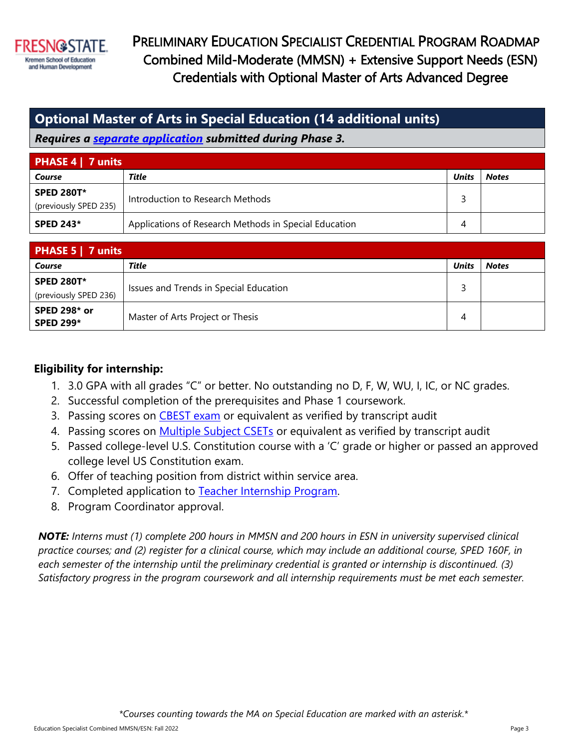

 PRELIMINARY EDUCATION SPECIALIST CREDENTIAL PROGRAM ROADMAP Combined Mild-Moderate (MMSN) + Extensive Support Needs (ESN) Credentials with Optional Master of Arts Advanced Degree

### **Optional Master of Arts in Special Education (14 additional units)**

*Requires a [separate application](https://kremen.fresnostate.edu/masters-special-education/ma-spedreq.html) submitted during Phase 3.*

| <b>PHASE 4   7 units</b> |                                                       |              |              |  |
|--------------------------|-------------------------------------------------------|--------------|--------------|--|
| Course                   | Title                                                 | <b>Units</b> | <b>Notes</b> |  |
| <b>SPED 280T*</b>        | Introduction to Research Methods                      |              |              |  |
| (previously SPED 235)    |                                                       |              |              |  |
| <b>SPED 243*</b>         | Applications of Research Methods in Special Education |              |              |  |

| <b>PHASE 5   7 units</b>                   |                                        |              |              |  |
|--------------------------------------------|----------------------------------------|--------------|--------------|--|
| Course                                     | Title                                  | <b>Units</b> | <b>Notes</b> |  |
| <b>SPED 280T*</b><br>(previously SPED 236) | Issues and Trends in Special Education |              |              |  |
| <b>SPED 298* or</b><br><b>SPED 299*</b>    | Master of Arts Project or Thesis       | 4            |              |  |

#### **Eligibility for internship:**

- 1. 3.0 GPA with all grades "C" or better. No outstanding no D, F, W, WU, I, IC, or NC grades.
- 2. Successful completion of the prerequisites and Phase 1 coursework.
- 3. Passing scores on [CBEST exam](https://www.ctcexams.nesinc.com/TestView.aspx?f=HTML_FRAG/CA_CBEST_TestPage.html) or equivalent as verified by transcript audit
- 4. Passing scores on [Multiple Subject CSETs](https://www.ctcexams.nesinc.com/TestView.aspx?f=HTML_FRAG/CA_CSET101_TestPage.html) or equivalent as verified by transcript audit
- 5. Passed college-level U.S. Constitution course with a 'C' grade or higher or passed an approved college level US Constitution exam.
- 6. Offer of teaching position from district within service area.
- 7. Completed application to [Teacher Internship Program.](https://kremen.fresnostate.edu/teaching-credential/pathways/internship.html)
- 8. Program Coordinator approval.

*NOTE: Interns must (1) complete 200 hours in MMSN and 200 hours in ESN in university supervised clinical practice courses; and (2) register for a clinical course, which may include an additional course, SPED 160F, in each semester of the internship until the preliminary credential is granted or internship is discontinued. (3) Satisfactory progress in the program coursework and all internship requirements must be met each semester.*